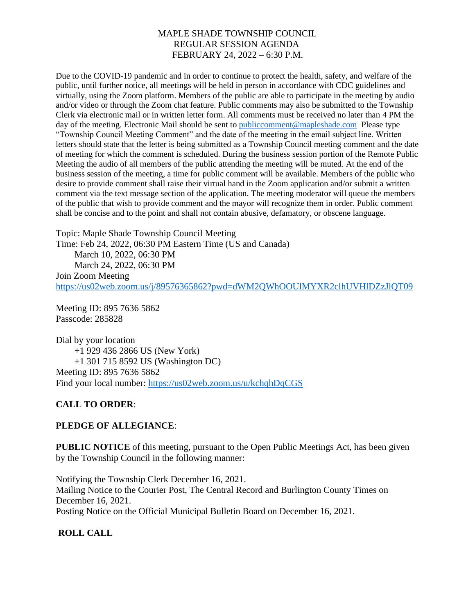Due to the COVID-19 pandemic and in order to continue to protect the health, safety, and welfare of the public, until further notice, all meetings will be held in person in accordance with CDC guidelines and virtually, using the Zoom platform. Members of the public are able to participate in the meeting by audio and/or video or through the Zoom chat feature. Public comments may also be submitted to the Township Clerk via electronic mail or in written letter form. All comments must be received no later than 4 PM the day of the meeting. Electronic Mail should be sent to [publiccomment@mapleshade.com](mailto:publiccomment@mapleshade.com) Please type "Township Council Meeting Comment" and the date of the meeting in the email subject line. Written letters should state that the letter is being submitted as a Township Council meeting comment and the date of meeting for which the comment is scheduled. During the business session portion of the Remote Public Meeting the audio of all members of the public attending the meeting will be muted. At the end of the business session of the meeting, a time for public comment will be available. Members of the public who desire to provide comment shall raise their virtual hand in the Zoom application and/or submit a written comment via the text message section of the application. The meeting moderator will queue the members of the public that wish to provide comment and the mayor will recognize them in order. Public comment shall be concise and to the point and shall not contain abusive, defamatory, or obscene language.

Topic: Maple Shade Township Council Meeting Time: Feb 24, 2022, 06:30 PM Eastern Time (US and Canada) March 10, 2022, 06:30 PM March 24, 2022, 06:30 PM Join Zoom Meeting <https://us02web.zoom.us/j/89576365862?pwd=dWM2QWhOOUlMYXR2clhUVHlDZzJlQT09>

Meeting ID: 895 7636 5862 Passcode: 285828

Dial by your location +1 929 436 2866 US (New York) +1 301 715 8592 US (Washington DC) Meeting ID: 895 7636 5862 Find your local number:<https://us02web.zoom.us/u/kchqhDqCGS>

# **CALL TO ORDER**:

## **PLEDGE OF ALLEGIANCE**:

**PUBLIC NOTICE** of this meeting, pursuant to the Open Public Meetings Act, has been given by the Township Council in the following manner:

Notifying the Township Clerk December 16, 2021. Mailing Notice to the Courier Post, The Central Record and Burlington County Times on December 16, 2021. Posting Notice on the Official Municipal Bulletin Board on December 16, 2021.

# **ROLL CALL**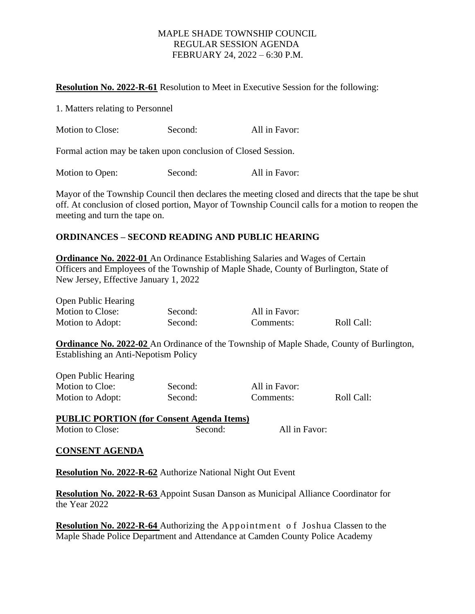#### **Resolution No. 2022-R-61** Resolution to Meet in Executive Session for the following:

| 1. Matters relating to Personnel                              |         |               |  |
|---------------------------------------------------------------|---------|---------------|--|
| Motion to Close:                                              | Second: | All in Favor: |  |
| Formal action may be taken upon conclusion of Closed Session. |         |               |  |

| Motion to Open: | Second: | All in Favor: |
|-----------------|---------|---------------|
|-----------------|---------|---------------|

Mayor of the Township Council then declares the meeting closed and directs that the tape be shut off. At conclusion of closed portion, Mayor of Township Council calls for a motion to reopen the meeting and turn the tape on.

## **ORDINANCES – SECOND READING AND PUBLIC HEARING**

**Ordinance No. 2022-01** An Ordinance Establishing Salaries and Wages of Certain Officers and Employees of the Township of Maple Shade, County of Burlington, State of New Jersey, Effective January 1, 2022

Open Public Hearing

Motion to Close: Second: All in Favor: Motion to Adopt: Second: Comments: Roll Call:

**Ordinance No. 2022-02** An Ordinance of the Township of Maple Shade, County of Burlington, Establishing an Anti-Nepotism Policy

Open Public Hearing Motion to Cloe: Second: All in Favor: Motion to Adopt: Second: Comments: Roll Call:

| <b>PUBLIC PORTION (for Consent Agenda Items)</b> |         |               |
|--------------------------------------------------|---------|---------------|
| Motion to Close:                                 | Second: | All in Favor: |

#### **CONSENT AGENDA**

**Resolution No. 2022-R-62** Authorize National Night Out Event

**Resolution No. 2022-R-63** Appoint Susan Danson as Municipal Alliance Coordinator for the Year 2022

**Resolution No. 2022-R-64** Authorizing the Appointment o f Joshua Classen to the Maple Shade Police Department and Attendance at Camden County Police Academy